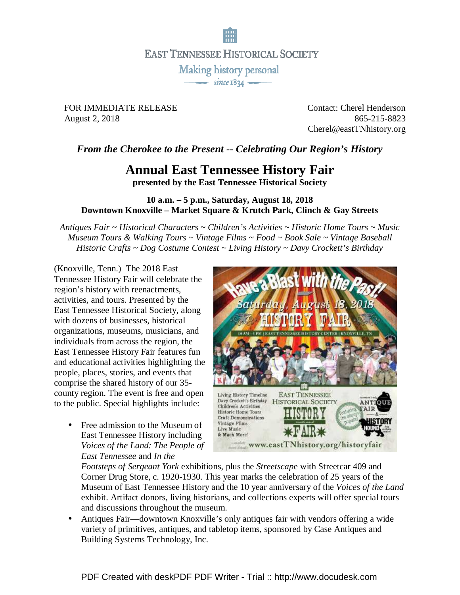

**EAST TENNESSEE HISTORICAL SOCIETY** 

Making history personal  $\overline{\phantom{0}}$  since 1834  $\overline{\phantom{0}}$ 

FOR IMMEDIATE RELEASE Contact: Cherel Henderson August 2, 2018 865-215-8823

Cherel@eastTNhistory.org

## *From the Cherokee to the Present -- Celebrating Our Region's History*

## **Annual East Tennessee History Fair**

**presented by the East Tennessee Historical Society** 

## **10 a.m. – 5 p.m., Saturday, August 18, 2018 Downtown Knoxville – Market Square & Krutch Park, Clinch & Gay Streets**

*Antiques Fair ~ Historical Characters ~ Children's Activities ~ Historic Home Tours ~ Music Museum Tours & Walking Tours ~ Vintage Films ~ Food ~ Book Sale ~ Vintage Baseball Historic Crafts ~ Dog Costume Contest ~ Living History ~ Davy Crockett's Birthday*

(Knoxville, Tenn.) The 2018 East Tennessee History Fair will celebrate the region's history with reenactments, activities, and tours. Presented by the East Tennessee Historical Society, along with dozens of businesses, historical organizations, museums, musicians, and individuals from across the region, the East Tennessee History Fair features fun and educational activities highlighting the people, places, stories, and events that comprise the shared history of our 35 county region. The event is free and open to the public. Special highlights include:

• Free admission to the Museum of East Tennessee History including *Voices of the Land: The People of East Tennessee* and *In the* 



*Footsteps of Sergeant York* exhibitions, plus the *Streetscap*e with Streetcar 409 and Corner Drug Store, c. 1920-1930. This year marks the celebration of 25 years of the Museum of East Tennessee History and the 10 year anniversary of the *Voices of the Land* exhibit. Artifact donors, living historians, and collections experts will offer special tours and discussions throughout the museum.

• Antiques Fair—downtown Knoxville's only antiques fair with vendors offering a wide variety of primitives, antiques, and tabletop items, sponsored by Case Antiques and Building Systems Technology, Inc.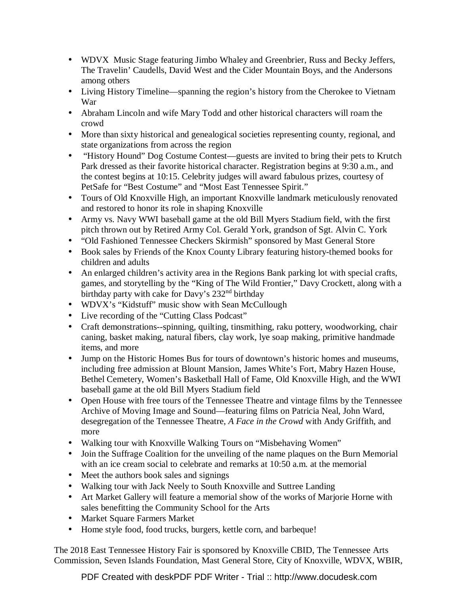- WDVX Music Stage featuring Jimbo Whaley and Greenbrier, Russ and Becky Jeffers, The Travelin' Caudells, David West and the Cider Mountain Boys, and the Andersons among others
- Living History Timeline—spanning the region's history from the Cherokee to Vietnam War
- Abraham Lincoln and wife Mary Todd and other historical characters will roam the crowd
- More than sixty historical and genealogical societies representing county, regional, and state organizations from across the region
- "History Hound" Dog Costume Contest—guests are invited to bring their pets to Krutch Park dressed as their favorite historical character. Registration begins at 9:30 a.m., and the contest begins at 10:15. Celebrity judges will award fabulous prizes, courtesy of PetSafe for "Best Costume" and "Most East Tennessee Spirit."
- Tours of Old Knoxville High, an important Knoxville landmark meticulously renovated and restored to honor its role in shaping Knoxville
- Army vs. Navy WWI baseball game at the old Bill Myers Stadium field, with the first pitch thrown out by Retired Army Col. Gerald York, grandson of Sgt. Alvin C. York
- "Old Fashioned Tennessee Checkers Skirmish" sponsored by Mast General Store
- Book sales by Friends of the Knox County Library featuring history-themed books for children and adults
- An enlarged children's activity area in the Regions Bank parking lot with special crafts, games, and storytelling by the "King of The Wild Frontier," Davy Crockett, along with a birthday party with cake for Davy's 232<sup>nd</sup> birthday
- WDVX's "Kidstuff" music show with Sean McCullough
- Live recording of the "Cutting Class Podcast"
- Craft demonstrations--spinning, quilting, tinsmithing, raku pottery, woodworking, chair caning, basket making, natural fibers, clay work, lye soap making, primitive handmade items, and more
- Jump on the Historic Homes Bus for tours of downtown's historic homes and museums, including free admission at Blount Mansion, James White's Fort, Mabry Hazen House, Bethel Cemetery, Women's Basketball Hall of Fame, Old Knoxville High, and the WWI baseball game at the old Bill Myers Stadium field
- Open House with free tours of the Tennessee Theatre and vintage films by the Tennessee Archive of Moving Image and Sound—featuring films on Patricia Neal, John Ward, desegregation of the Tennessee Theatre, *A Face in the Crowd* with Andy Griffith, and more
- Walking tour with Knoxville Walking Tours on "Misbehaving Women"
- Join the Suffrage Coalition for the unveiling of the name plaques on the Burn Memorial with an ice cream social to celebrate and remarks at 10:50 a.m. at the memorial
- Meet the authors book sales and signings
- Walking tour with Jack Neely to South Knoxville and Suttree Landing
- Art Market Gallery will feature a memorial show of the works of Marjorie Horne with sales benefitting the Community School for the Arts
- Market Square Farmers Market
- Home style food, food trucks, burgers, kettle corn, and barbeque!

The 2018 East Tennessee History Fair is sponsored by Knoxville CBID, The Tennessee Arts Commission, Seven Islands Foundation, Mast General Store, City of Knoxville, WDVX, WBIR,

PDF Created with deskPDF PDF Writer - Trial :: http://www.docudesk.com